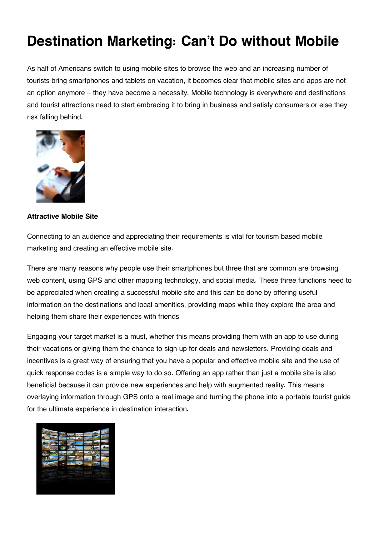## **Destination Marketing: Can't Do without Mobile**

As half of Americans switch to using mobile sites to browse the web and an increasing number of tourists bring smartphones and tablets on vacation, it becomes clear that mobile sites and apps are not an option anymore – they have become a necessity. Mobile technology is everywhere and destinations and tourist attractions need to start embracing it to bring in business and satisfy consumers or else they risk falling behind.



## **Attractive Mobile Site**

Connecting to an audience and appreciating their requirements is vital for tourism based mobile marketing and creating an effective mobile site.

There are many reasons why people use their smartphones but three that are common are browsing web content, using GPS and other mapping technology, and social media. These three functions need to be appreciated when creating a successful mobile site and this can be done by offering useful information on the destinations and local amenities, providing maps while they explore the area and helping them share their experiences with friends.

Engaging your target market is a must, whether this means providing them with an app to use during their vacations or giving them the chance to sign up for deals and newsletters. Providing deals and incentives is a great way of ensuring that you have a popular and effective mobile site and the use of quick response codes is a simple way to do so. Offering an app rather than just a mobile site is also beneficial because it can provide new experiences and help with augmented reality. This means overlaying information through GPS onto a real image and turning the phone into a portable tourist guide for the ultimate experience in destination interaction.